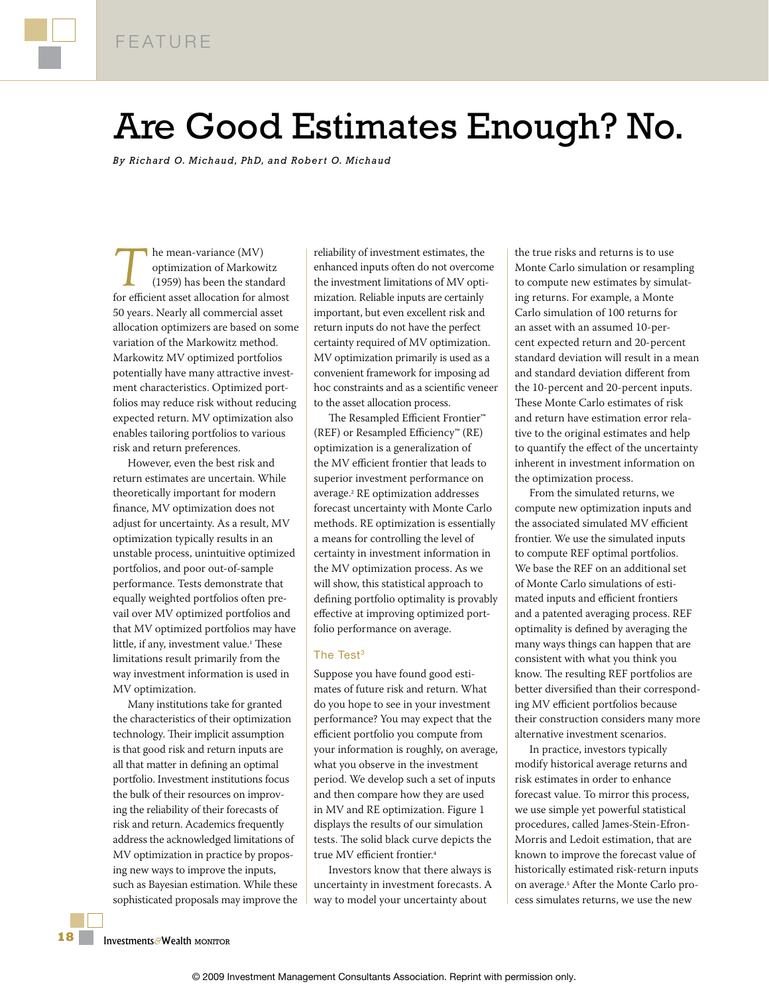

# Are Good Estimates Enough? No.

*By Richard O. Michaud, PhD, and Rober t O. Michaud*

**The mean-variance (MV)**<br>optimization of Markow<br>(1959) has been the standard optimization of Markowitz (1959) has been the standard for efficient asset allocation for almost 50 years. Nearly all commercial asset allocation optimizers are based on some variation of the Markowitz method. Markowitz MV optimized portfolios potentially have many attractive investment characteristics. Optimized portfolios may reduce risk without reducing expected return. MV optimization also enables tailoring portfolios to various risk and return preferences.

However, even the best risk and return estimates are uncertain. While theoretically important for modern finance, MV optimization does not adjust for uncertainty. As a result, MV optimization typically results in an unstable process, unintuitive optimized portfolios, and poor out-of-sample performance. Tests demonstrate that equally weighted portfolios often prevail over MV optimized portfolios and that MV optimized portfolios may have little, if any, investment value.<sup>1</sup> These limitations result primarily from the way investment information is used in MV optimization.

Many institutions take for granted the characteristics of their optimization technology. Their implicit assumption is that good risk and return inputs are all that matter in defining an optimal portfolio. Investment institutions focus the bulk of their resources on improving the reliability of their forecasts of risk and return. Academics frequently address the acknowledged limitations of MV optimization in practice by proposing new ways to improve the inputs, such as Bayesian estimation. While these sophisticated proposals may improve the reliability of investment estimates, the enhanced inputs often do not overcome the investment limitations of MV optimization. Reliable inputs are certainly important, but even excellent risk and return inputs do not have the perfect certainty required of MV optimization. MV optimization primarily is used as a convenient framework for imposing ad hoc constraints and as a scientific veneer to the asset allocation process.

The Resampled Efficient Frontier™ (REF) or Resampled Efficiency™ (RE) optimization is a generalization of the MV efficient frontier that leads to superior investment performance on average.<sup>2</sup> RE optimization addresses forecast uncertainty with Monte Carlo methods. RE optimization is essentially a means for controlling the level of certainty in investment information in the MV optimization process. As we will show, this statistical approach to defining portfolio optimality is provably effective at improving optimized portfolio performance on average.

### The Test<sup>3</sup>

Suppose you have found good estimates of future risk and return. What do you hope to see in your investment performance? You may expect that the efficient portfolio you compute from your information is roughly, on average, what you observe in the investment period. We develop such a set of inputs and then compare how they are used in MV and RE optimization. Figure 1 displays the results of our simulation tests. The solid black curve depicts the true MV efficient frontier.<sup>4</sup>

Investors know that there always is uncertainty in investment forecasts. A way to model your uncertainty about

the true risks and returns is to use Monte Carlo simulation or resampling to compute new estimates by simulating returns. For example, a Monte Carlo simulation of 100 returns for an asset with an assumed 10-percent expected return and 20-percent standard deviation will result in a mean and standard deviation different from the 10-percent and 20-percent inputs. These Monte Carlo estimates of risk and return have estimation error relative to the original estimates and help to quantify the effect of the uncertainty inherent in investment information on the optimization process.

From the simulated returns, we compute new optimization inputs and the associated simulated MV efficient frontier. We use the simulated inputs to compute REF optimal portfolios. We base the REF on an additional set of Monte Carlo simulations of estimated inputs and efficient frontiers and a patented averaging process. REF optimality is defined by averaging the many ways things can happen that are consistent with what you think you know. The resulting REF portfolios are better diversified than their corresponding MV efficient portfolios because their construction considers many more alternative investment scenarios.

In practice, investors typically modify historical average returns and risk estimates in order to enhance forecast value. To mirror this process, we use simple yet powerful statistical procedures, called James-Stein-Efron-Morris and Ledoit estimation, that are known to improve the forecast value of historically estimated risk-return inputs on average.<sup>5</sup> After the Monte Carlo process simulates returns, we use the new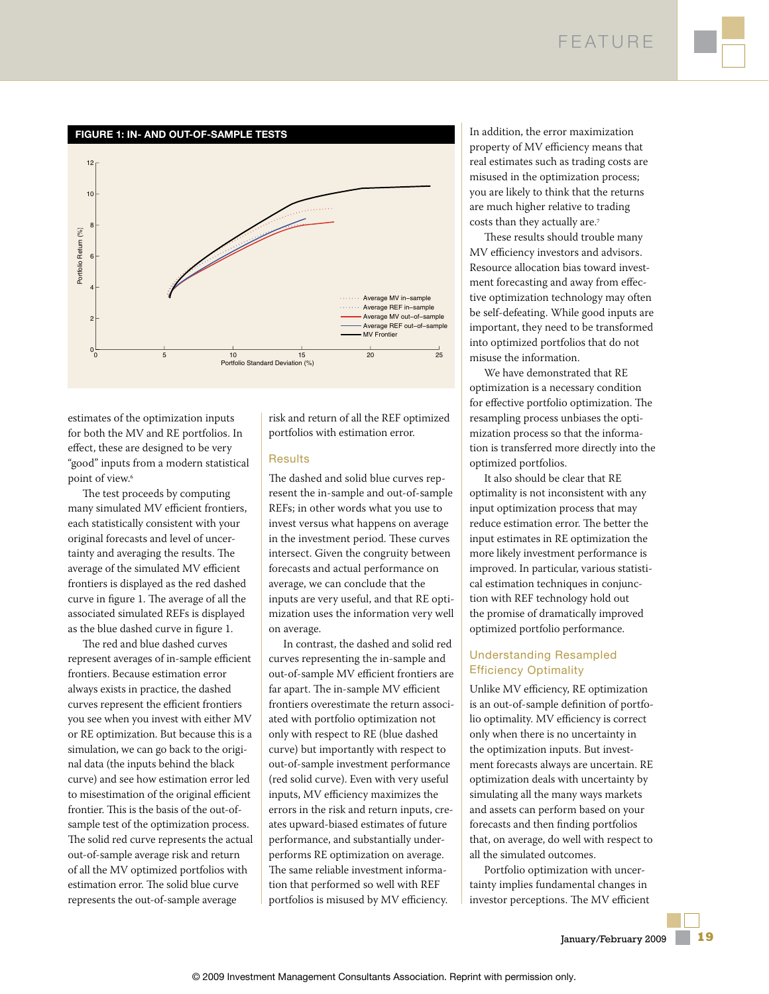

estimates of the optimization inputs for both the MV and RE portfolios. In effect, these are designed to be very "good" inputs from a modern statistical point of view.<sup>6</sup>

The test proceeds by computing many simulated MV efficient frontiers, each statistically consistent with your original forecasts and level of uncertainty and averaging the results. The average of the simulated MV efficient frontiers is displayed as the red dashed curve in figure 1. The average of all the associated simulated REFs is displayed as the blue dashed curve in figure 1.

The red and blue dashed curves represent averages of in-sample efficient frontiers. Because estimation error always exists in practice, the dashed curves represent the efficient frontiers you see when you invest with either MV or RE optimization. But because this is a simulation, we can go back to the original data (the inputs behind the black curve) and see how estimation error led to misestimation of the original efficient frontier. This is the basis of the out-ofsample test of the optimization process. The solid red curve represents the actual out-of-sample average risk and return of all the MV optimized portfolios with estimation error. The solid blue curve represents the out-of-sample average

risk and return of all the REF optimized portfolios with estimation error.

#### **Results**

The dashed and solid blue curves represent the in-sample and out-of-sample REFs; in other words what you use to invest versus what happens on average in the investment period. These curves intersect. Given the congruity between forecasts and actual performance on average, we can conclude that the inputs are very useful, and that RE optimization uses the information very well on average.

In contrast, the dashed and solid red curves representing the in-sample and out-of-sample MV efficient frontiers are far apart. The in-sample MV efficient frontiers overestimate the return associated with portfolio optimization not only with respect to RE (blue dashed curve) but importantly with respect to out-of-sample investment performance (red solid curve). Even with very useful inputs, MV efficiency maximizes the errors in the risk and return inputs, creates upward-biased estimates of future performance, and substantially underperforms RE optimization on average. The same reliable investment information that performed so well with REF portfolios is misused by MV efficiency.

In addition, the error maximization property of MV efficiency means that real estimates such as trading costs are misused in the optimization process; you are likely to think that the returns are much higher relative to trading costs than they actually are.<sup>7</sup>

These results should trouble many MV efficiency investors and advisors. Resource allocation bias toward investment forecasting and away from effective optimization technology may often be self-defeating. While good inputs are important, they need to be transformed into optimized portfolios that do not misuse the information.

We have demonstrated that RE optimization is a necessary condition for effective portfolio optimization. The resampling process unbiases the optimization process so that the information is transferred more directly into the optimized portfolios.

It also should be clear that RE optimality is not inconsistent with any input optimization process that may reduce estimation error. The better the input estimates in RE optimization the more likely investment performance is improved. In particular, various statistical estimation techniques in conjunction with REF technology hold out the promise of dramatically improved optimized portfolio performance.

## Understanding Resampled Efficiency Optimality

Unlike MV efficiency, RE optimization is an out-of-sample definition of portfolio optimality. MV efficiency is correct only when there is no uncertainty in the optimization inputs. But investment forecasts always are uncertain. RE optimization deals with uncertainty by simulating all the many ways markets and assets can perform based on your forecasts and then finding portfolios that, on average, do well with respect to all the simulated outcomes.

Portfolio optimization with uncertainty implies fundamental changes in investor perceptions. The MV efficient

January/February 2009 **19**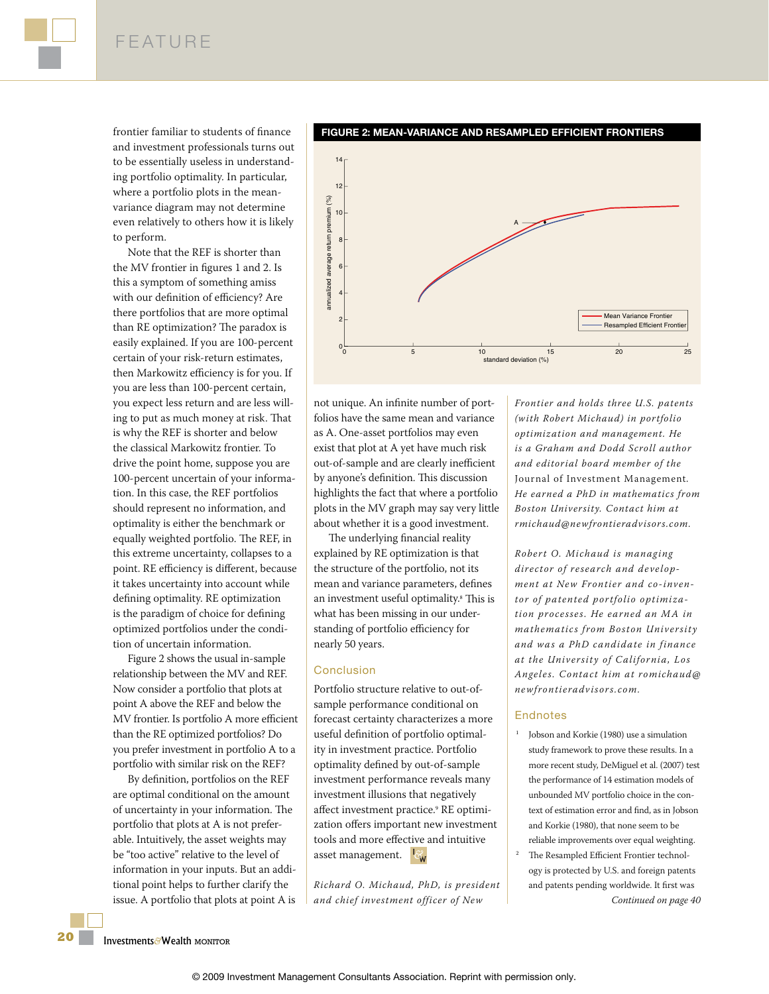frontier familiar to students of finance and investment professionals turns out to be essentially useless in understanding portfolio optimality. In particular, where a portfolio plots in the meanvariance diagram may not determine even relatively to others how it is likely to perform.

Note that the REF is shorter than the MV frontier in figures 1 and 2. Is this a symptom of something amiss with our definition of efficiency? Are there portfolios that are more optimal than RE optimization? The paradox is easily explained. If you are 100-percent certain of your risk-return estimates, then Markowitz efficiency is for you. If you are less than 100-percent certain, you expect less return and are less willing to put as much money at risk. That is why the REF is shorter and below the classical Markowitz frontier. To drive the point home, suppose you are 100-percent uncertain of your information. In this case, the REF portfolios should represent no information, and optimality is either the benchmark or equally weighted portfolio. The REF, in this extreme uncertainty, collapses to a point. RE efficiency is different, because it takes uncertainty into account while defining optimality. RE optimization is the paradigm of choice for defining optimized portfolios under the condition of uncertain information.

Figure 2 shows the usual in-sample relationship between the MV and REF. Now consider a portfolio that plots at point A above the REF and below the MV frontier. Is portfolio A more efficient than the RE optimized portfolios? Do you prefer investment in portfolio A to a portfolio with similar risk on the REF?

By definition, portfolios on the REF are optimal conditional on the amount of uncertainty in your information. The portfolio that plots at A is not preferable. Intuitively, the asset weights may be "too active" relative to the level of information in your inputs. But an additional point helps to further clarify the issue. A portfolio that plots at point A is

14 12  $\frac{5}{20}$ annualized average return premium (%) premium 10  $\overline{A}$   $\overline{A}$ return 8<sup>1</sup> annualized average  $6<sup>1</sup>$ 4 Mean Variance Frontier 2 Resampled Efficient Frontie  $\begin{array}{|c|c|c|c|c|}\n0 & 5 & 10 & 15 & 20 & 25 \\
\hline\n\end{array}$ 

standard deviation (%)

**FIGURE 2: MEAN-VARIANCE AND RESAMPLED EFFICIENT FRONTIERS**

not unique. An infinite number of portfolios have the same mean and variance as A. One-asset portfolios may even exist that plot at A yet have much risk out-of-sample and are clearly inefficient by anyone's definition. This discussion highlights the fact that where a portfolio plots in the MV graph may say very little about whether it is a good investment.

The underlying financial reality explained by RE optimization is that the structure of the portfolio, not its mean and variance parameters, defines an investment useful optimality.<sup>s</sup> This is what has been missing in our understanding of portfolio efficiency for nearly 50 years.

#### **Conclusion**

Portfolio structure relative to out-ofsample performance conditional on forecast certainty characterizes a more useful definition of portfolio optimality in investment practice. Portfolio optimality defined by out-of-sample investment performance reveals many investment illusions that negatively affect investment practice.<sup>9</sup> RE optimization offers important new investment tools and more effective and intuitive asset management.  $\mathbb{R}^n$ 

*Richard O. Michaud, PhD, is president and chief investment officer of New* 

*Frontier and holds three U.S. patents (with Robert Michaud) in portfolio optimization and management. He is a Graham and Dodd Scroll author and editorial board member of the*  Journal of Investment Management*. He earned a PhD in mathematics from Boston University. Contact him at rmichaud@newfrontieradvisors.com.*

*Robert O. Michaud is manag ing director of research and development at New Frontier and co-inventor of patented portfolio optimization processes. He earned an M A in mathematics from Boston University and was a PhD candidate in finance at the University of California , Los Angeles. Contact him at romichaud@ newfrontieradvisors.com.*

#### **Endnotes**

- 1 Jobson and Korkie (1980) use a simulation study framework to prove these results. In a more recent study, DeMiguel et al. (2007) test the performance of 14 estimation models of unbounded MV portfolio choice in the context of estimation error and find, as in Jobson and Korkie (1980), that none seem to be reliable improvements over equal weighting.
- 2 The Resampled Efficient Frontier technology is protected by U.S. and foreign patents and patents pending worldwide. It first was *Continued on page 40*